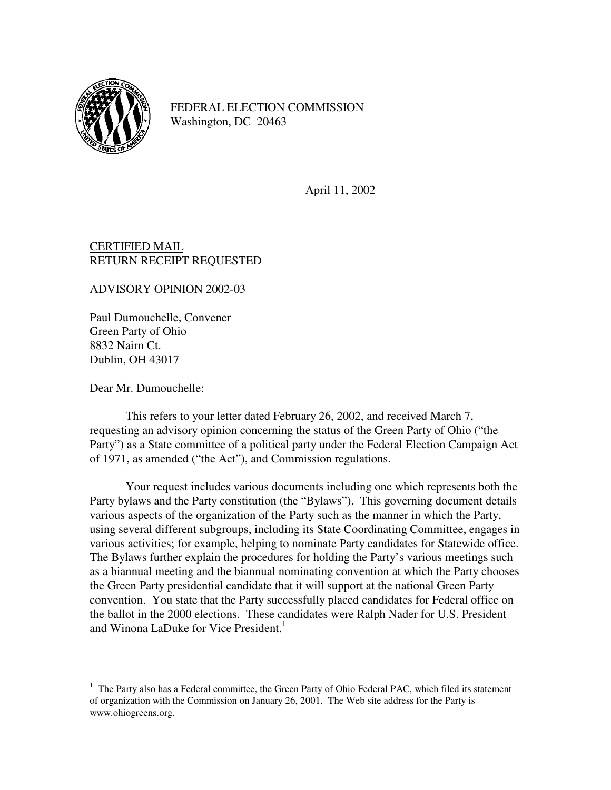

FEDERAL ELECTION COMMISSION Washington, DC 20463

April 11, 2002

## CERTIFIED MAIL RETURN RECEIPT REQUESTED

ADVISORY OPINION 2002-03

Paul Dumouchelle, Convener Green Party of Ohio 8832 Nairn Ct. Dublin, OH 43017

Dear Mr. Dumouchelle:

j

 This refers to your letter dated February 26, 2002, and received March 7, requesting an advisory opinion concerning the status of the Green Party of Ohio ("the Party") as a State committee of a political party under the Federal Election Campaign Act of 1971, as amended ("the Act"), and Commission regulations.

 Your request includes various documents including one which represents both the Party bylaws and the Party constitution (the "Bylaws"). This governing document details various aspects of the organization of the Party such as the manner in which the Party, using several different subgroups, including its State Coordinating Committee, engages in various activities; for example, helping to nominate Party candidates for Statewide office. The Bylaws further explain the procedures for holding the Party's various meetings such as a biannual meeting and the biannual nominating convention at which the Party chooses the Green Party presidential candidate that it will support at the national Green Party convention. You state that the Party successfully placed candidates for Federal office on the ballot in the 2000 elections. These candidates were Ralph Nader for U.S. President and Winona LaDuke for Vice President.<sup>1</sup>

<sup>&</sup>lt;sup>1</sup> The Party also has a Federal committee, the Green Party of Ohio Federal PAC, which filed its statement of organization with the Commission on January 26, 2001. The Web site address for the Party is www.ohiogreens.org.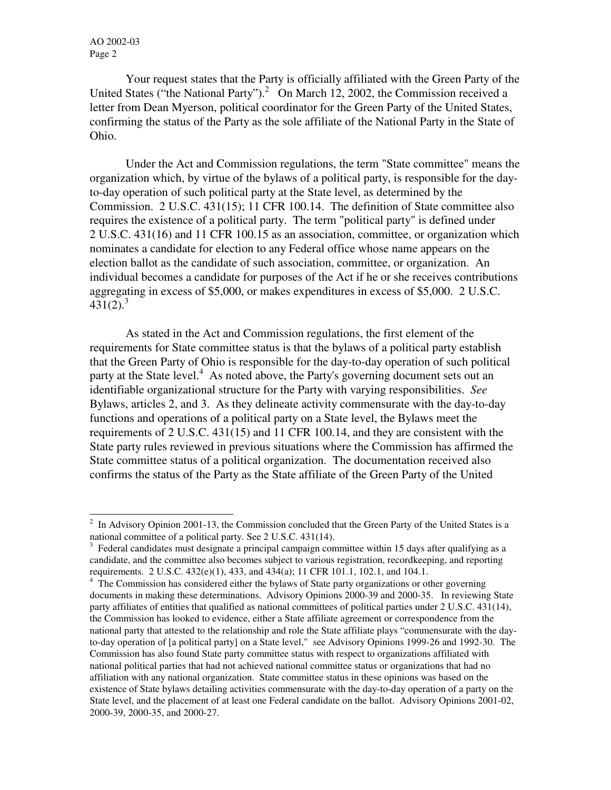j

 Your request states that the Party is officially affiliated with the Green Party of the United States ("the National Party").<sup>2</sup> On March 12, 2002, the Commission received a letter from Dean Myerson, political coordinator for the Green Party of the United States, confirming the status of the Party as the sole affiliate of the National Party in the State of Ohio.

Under the Act and Commission regulations, the term "State committee" means the organization which, by virtue of the bylaws of a political party, is responsible for the dayto-day operation of such political party at the State level, as determined by the Commission. 2 U.S.C. 431(15); 11 CFR 100.14. The definition of State committee also requires the existence of a political party. The term "political party" is defined under 2 U.S.C. 431(16) and 11 CFR 100.15 as an association, committee, or organization which nominates a candidate for election to any Federal office whose name appears on the election ballot as the candidate of such association, committee, or organization. An individual becomes a candidate for purposes of the Act if he or she receives contributions aggregating in excess of \$5,000, or makes expenditures in excess of \$5,000. 2 U.S.C.  $431(2).<sup>3</sup>$ 

 As stated in the Act and Commission regulations, the first element of the requirements for State committee status is that the bylaws of a political party establish that the Green Party of Ohio is responsible for the day-to-day operation of such political party at the State level.<sup>4</sup> As noted above, the Party's governing document sets out an identifiable organizational structure for the Party with varying responsibilities. *See* Bylaws, articles 2, and 3. As they delineate activity commensurate with the day-to-day functions and operations of a political party on a State level, the Bylaws meet the requirements of 2 U.S.C. 431(15) and 11 CFR 100.14, and they are consistent with the State party rules reviewed in previous situations where the Commission has affirmed the State committee status of a political organization. The documentation received also confirms the status of the Party as the State affiliate of the Green Party of the United

<sup>2</sup> In Advisory Opinion 2001-13, the Commission concluded that the Green Party of the United States is a national committee of a political party. See 2 U.S.C. 431(14).

<sup>3</sup> Federal candidates must designate a principal campaign committee within 15 days after qualifying as a candidate, and the committee also becomes subject to various registration, recordkeeping, and reporting requirements. 2 U.S.C. 432(e)(1), 433, and 434(a); 11 CFR 101.1, 102.1, and 104.1.

<sup>&</sup>lt;sup>4</sup> The Commission has considered either the bylaws of State party organizations or other governing documents in making these determinations. Advisory Opinions 2000-39 and 2000-35. In reviewing State party affiliates of entities that qualified as national committees of political parties under 2 U.S.C. 431(14), the Commission has looked to evidence, either a State affiliate agreement or correspondence from the national party that attested to the relationship and role the State affiliate plays "commensurate with the dayto-day operation of [a political party] on a State level," see Advisory Opinions 1999-26 and 1992-30. The Commission has also found State party committee status with respect to organizations affiliated with national political parties that had not achieved national committee status or organizations that had no affiliation with any national organization. State committee status in these opinions was based on the existence of State bylaws detailing activities commensurate with the day-to-day operation of a party on the State level, and the placement of at least one Federal candidate on the ballot. Advisory Opinions 2001-02, 2000-39, 2000-35, and 2000-27.